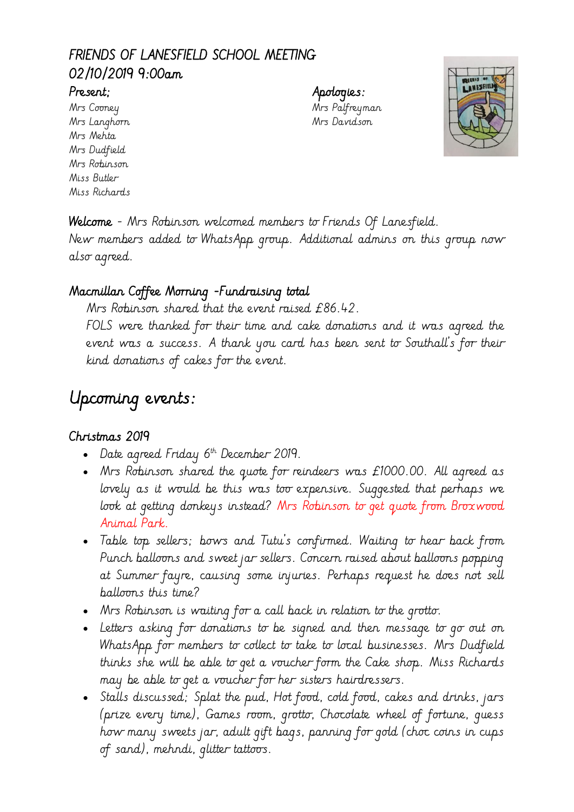# FRIENDS OF LANESFIELD SCHOOL MEETING 02/10/2019 9:00am

Mrs Langhorn Mrs Davidson Mrs Mehta Mrs Dudfield Mrs Robinson Miss Butler Miss Richards

Present; Apologies: Mrs Cooney Mrs Palfreyman



Welcome - Mrs Robinson welcomed members to Friends Of Lanesfield. New members added to WhatsApp group. Additional admins on this group now also agreed.

# Macmillan Coffee Morning -Fundraising total

Mrs Robinson shared that the event raised £86.42. FOLS were thanked for their time and cake donations and it was agreed the event was a success. A thank you card has been sent to Southall's for their kind donations of cakes for the event.

# Upcoming events:

# Christmas 2019

- $\bullet$  Date agreed Friday  $6<sup>th</sup>$  December 2019.
- Mrs Robinson shared the quote for reindeers was £1000.00. All agreed as lovely as it would be this was too expensive. Suggested that perhaps we look at getting donkeys instead? Mrs Robinson to get quote from Broxwood Animal Park.
- Table top sellers; bows and Tutu's confirmed. Waiting to hear back from Punch balloons and sweet jar sellers. Concern raised about balloons popping at Summer fayre, causing some injuries. Perhaps request he does not sell balloons this time?
- Mrs Robinson is waiting for a call back in relation to the grotto.
- Letters asking for donations to be signed and then message to go out on WhatsApp for members to collect to take to local businesses. Mrs Dudfield thinks she will be able to get a voucher form the Cake shop. Miss Richards may be able to get a voucher for her sisters hairdressers.
- Stalls discussed; Splat the pud, Hot food, cold food, cakes and drinks, jars (prize every time), Games room, grotto, Chocolate wheel of fortune, guess how many sweets jar, adult gift bags, panning for gold (choc coins in cups of sand), mehndi, glitter tattoos.